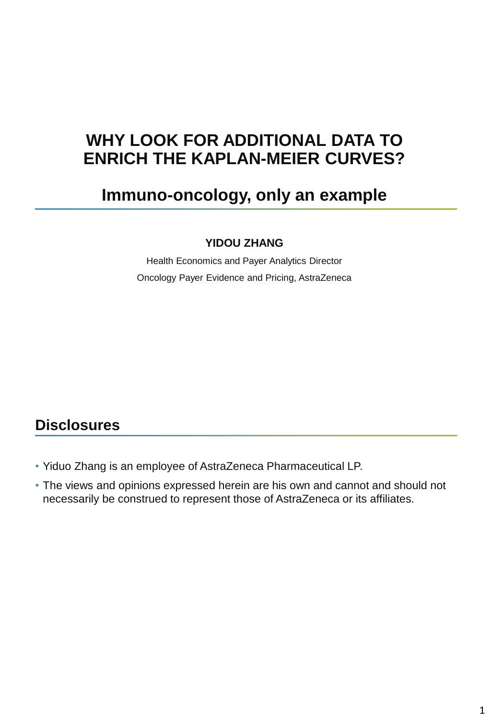# **WHY LOOK FOR ADDITIONAL DATA TO ENRICH THE KAPLAN-MEIER CURVES?**

# **Immuno-oncology, only an example**

### **YIDOU ZHANG**

Health Economics and Payer Analytics Director Oncology Payer Evidence and Pricing, AstraZeneca

## **Disclosures**

- Yiduo Zhang is an employee of AstraZeneca Pharmaceutical LP.
- The views and opinions expressed herein are his own and cannot and should not necessarily be construed to represent those of AstraZeneca or its affiliates.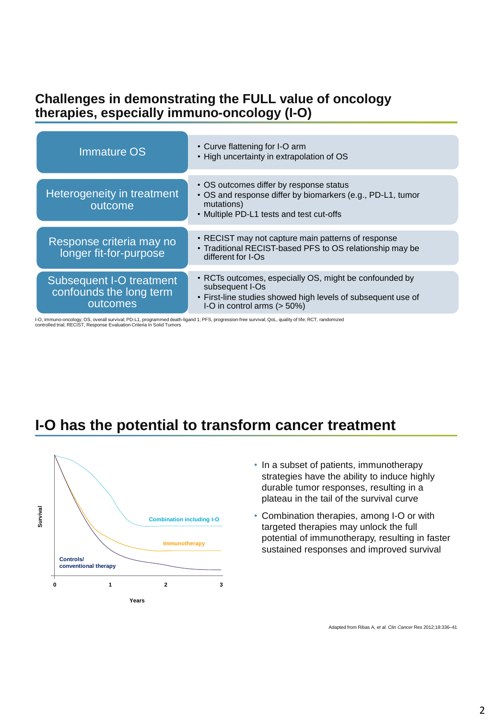### **Challenges in demonstrating the FULL value of oncology therapies, especially immuno-oncology (I-O)**

| <b>Immature OS</b>                                              | • Curve flattening for I-O arm<br>. High uncertainty in extrapolation of OS                                                                                                 |
|-----------------------------------------------------------------|-----------------------------------------------------------------------------------------------------------------------------------------------------------------------------|
| Heterogeneity in treatment<br>outcome                           | • OS outcomes differ by response status<br>• OS and response differ by biomarkers (e.g., PD-L1, tumor<br>mutations)<br>• Multiple PD-L1 tests and test cut-offs             |
| Response criteria may no<br>longer fit-for-purpose              | • RECIST may not capture main patterns of response<br>• Traditional RECIST-based PFS to OS relationship may be<br>different for I-Os                                        |
| Subsequent I-O treatment<br>confounds the long term<br>outcomes | • RCTs outcomes, especially OS, might be confounded by<br>subsequent I-Os<br>• First-line studies showed high levels of subsequent use of<br>I-O in control arms $($ > 50%) |

I-O, immuno-oncology; OS, overall survival; PD-L1, programmed death-ligand 1; PFS, progression-free survival; QoL, quality of life; RCT, randomized<br>controlled trial; RECIST, Response Evaluation Criteria In Solid Tumors

## **I-O has the potential to transform cancer treatment**



- In a subset of patients, immunotherapy strategies have the ability to induce highly durable tumor responses, resulting in a plateau in the tail of the survival curve
- Combination therapies, among I-O or with targeted therapies may unlock the full potential of immunotherapy, resulting in faster sustained responses and improved survival

Adapted from Ribas A, *et al. Clin Cancer* Res 2012;18:336–41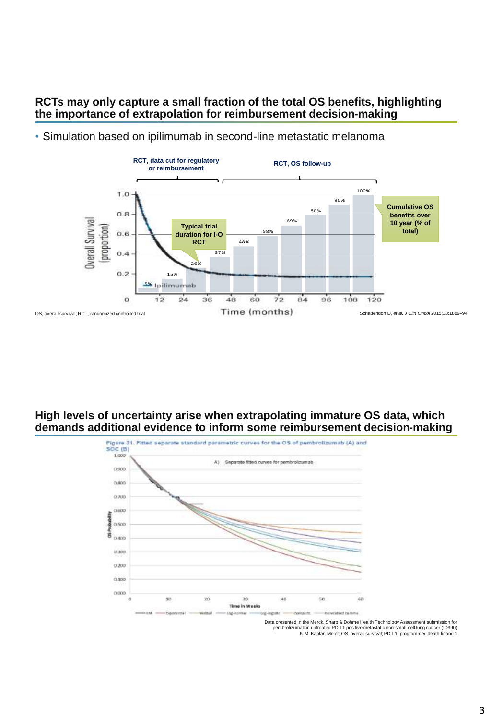### **RCTs may only capture a small fraction of the total OS benefits, highlighting the importance of extrapolation for reimbursement decision-making**



• Simulation based on ipilimumab in second-line metastatic melanoma

### **High levels of uncertainty arise when extrapolating immature OS data, which demands additional evidence to inform some reimbursement decision-making**



pembrolizumab in untreated PD-L1 positive metastatic non-small-cell lung cancer (ID990) K-M, Kaplan-Meier; OS, overall survival; PD-L1, programmed death-ligand 1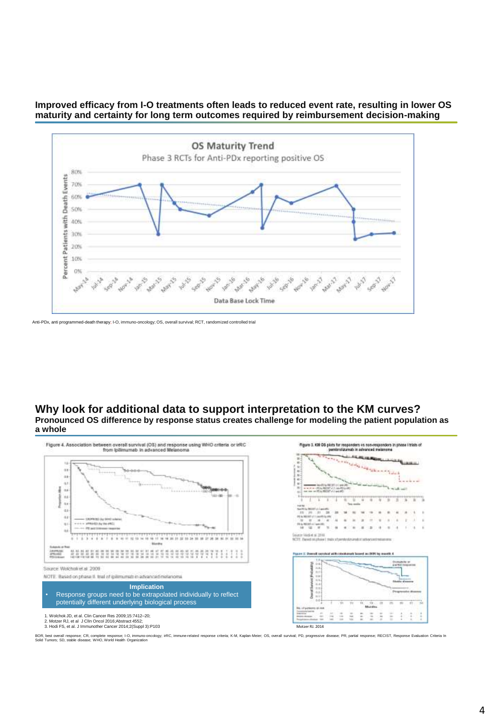#### **Improved efficacy from I-O treatments often leads to reduced event rate, resulting in lower OS maturity and certainty for long term outcomes required by reimbursement decision-making**



#### **Why look for additional data to support interpretation to the KM curves? Pronounced OS difference by response status creates challenge for modeling the patient population as a whole**



BOR, best owall response; CR, complete response; I-O, immun-oncology; irRC, immune-related response criteria; K-M, Kaplan-Meier; OS, overall survival; PD, progressive disease; PR, partial response; RECIST, Response Evaluat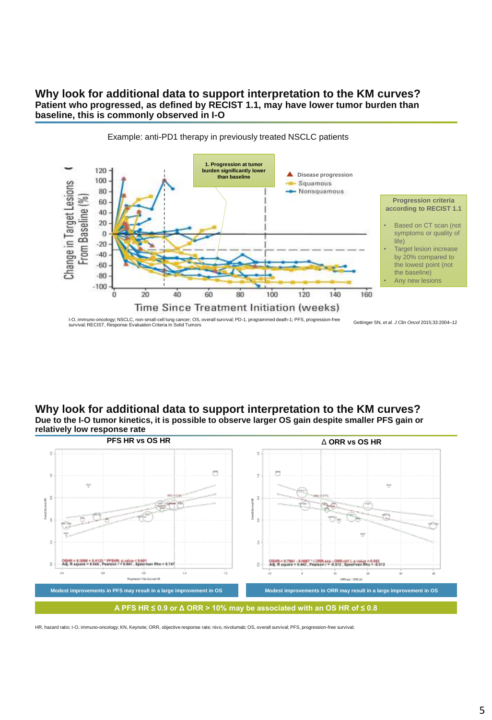#### **Why look for additional data to support interpretation to the KM curves? Patient who progressed, as defined by RECIST 1.1, may have lower tumor burden than baseline, this is commonly observed in I-O**



### Example: anti-PD1 therapy in previously treated NSCLC patients

**Why look for additional data to support interpretation to the KM curves? Due to the I-O tumor kinetics, it is possible to observe larger OS gain despite smaller PFS gain or relatively low response rate**



HR, hazard ratio; I-O, immuno-oncology; KN, Keynote; ORR, objective response rate; nivo, nivolumab; OS, overall survival; PFS, progression-free survival;